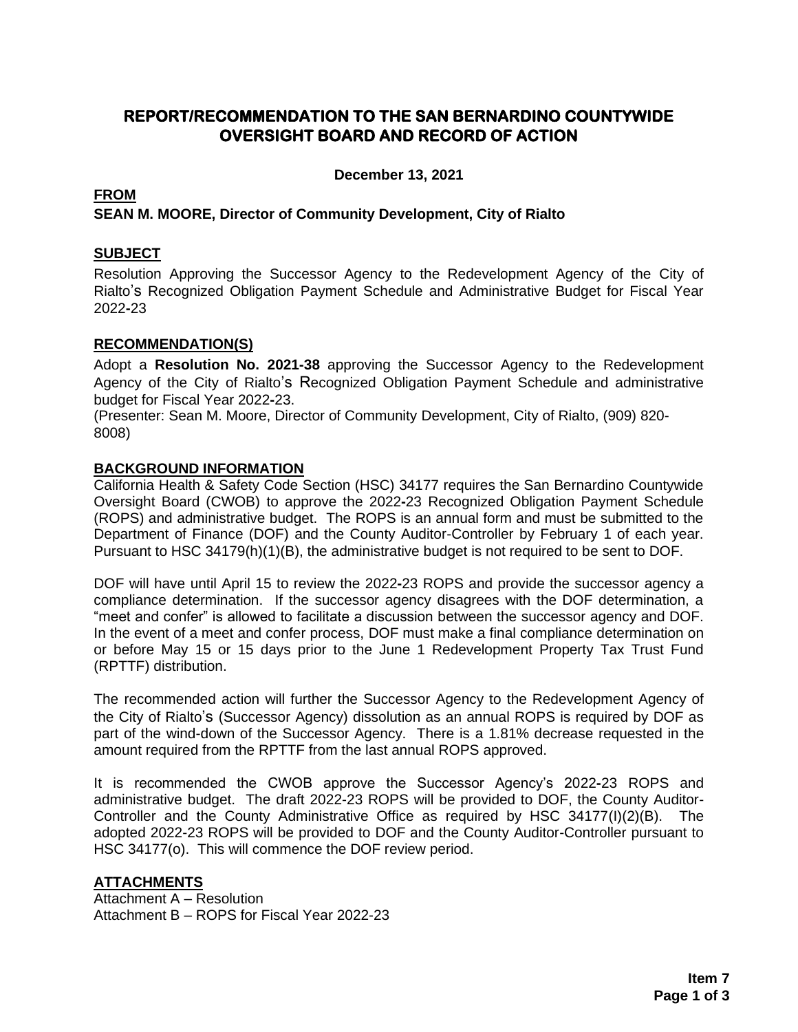## **REPORT/RECOMMENDATION TO THE SAN BERNARDINO COUNTYWIDE OVERSIGHT BOARD AND RECORD OF ACTION**

**December 13, 2021**

#### **FROM**

### **SEAN M. MOORE, Director of Community Development, City of Rialto**

#### **SUBJECT**

Resolution Approving the Successor Agency to the Redevelopment Agency of the City of Rialto's Recognized Obligation Payment Schedule and Administrative Budget for Fiscal Year 2022**-**23

#### **RECOMMENDATION(S)**

Adopt a **Resolution No. 2021-38** approving the Successor Agency to the Redevelopment Agency of the City of Rialto's Recognized Obligation Payment Schedule and administrative budget for Fiscal Year 2022**-**23.

(Presenter: Sean M. Moore, Director of Community Development, City of Rialto, (909) 820- 8008)

#### **BACKGROUND INFORMATION**

California Health & Safety Code Section (HSC) 34177 requires the San Bernardino Countywide Oversight Board (CWOB) to approve the 2022**-**23 Recognized Obligation Payment Schedule (ROPS) and administrative budget. The ROPS is an annual form and must be submitted to the Department of Finance (DOF) and the County Auditor-Controller by February 1 of each year. Pursuant to HSC 34179(h)(1)(B), the administrative budget is not required to be sent to DOF.

DOF will have until April 15 to review the 2022**-**23 ROPS and provide the successor agency a compliance determination. If the successor agency disagrees with the DOF determination, a "meet and confer" is allowed to facilitate a discussion between the successor agency and DOF. In the event of a meet and confer process, DOF must make a final compliance determination on or before May 15 or 15 days prior to the June 1 Redevelopment Property Tax Trust Fund (RPTTF) distribution.

The recommended action will further the Successor Agency to the Redevelopment Agency of the City of Rialto's (Successor Agency) dissolution as an annual ROPS is required by DOF as part of the wind-down of the Successor Agency. There is a 1.81% decrease requested in the amount required from the RPTTF from the last annual ROPS approved.

It is recommended the CWOB approve the Successor Agency's 2022**-**23 ROPS and administrative budget. The draft 2022-23 ROPS will be provided to DOF, the County Auditor-Controller and the County Administrative Office as required by HSC 34177(I)(2)(B). The adopted 2022-23 ROPS will be provided to DOF and the County Auditor-Controller pursuant to HSC 34177(o). This will commence the DOF review period.

#### **ATTACHMENTS**

Attachment A – Resolution Attachment B – ROPS for Fiscal Year 2022-23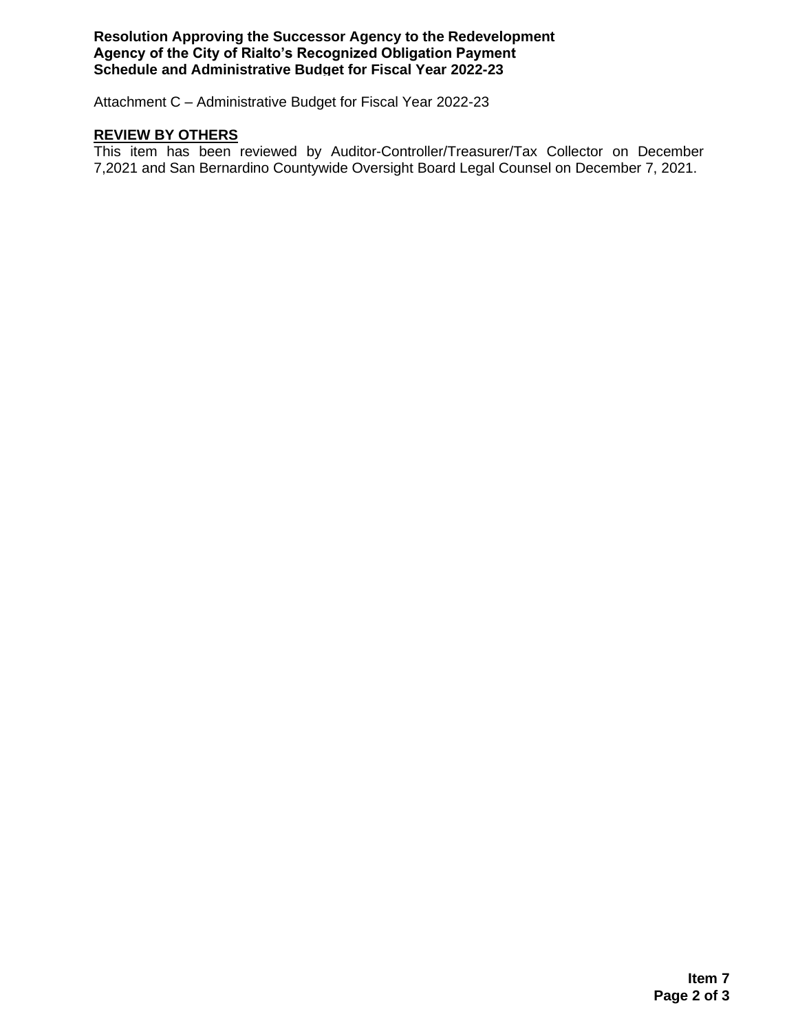**Resolution Approving the Successor Agency to the Redevelopment Agency of the City of Rialto's Recognized Obligation Payment Schedule and Administrative Budget for Fiscal Year 2022-23**

Attachment C – Administrative Budget for Fiscal Year 2022-23

#### **REVIEW BY OTHERS**

This item has been reviewed by Auditor-Controller/Treasurer/Tax Collector on December 7,2021 and San Bernardino Countywide Oversight Board Legal Counsel on December 7, 2021.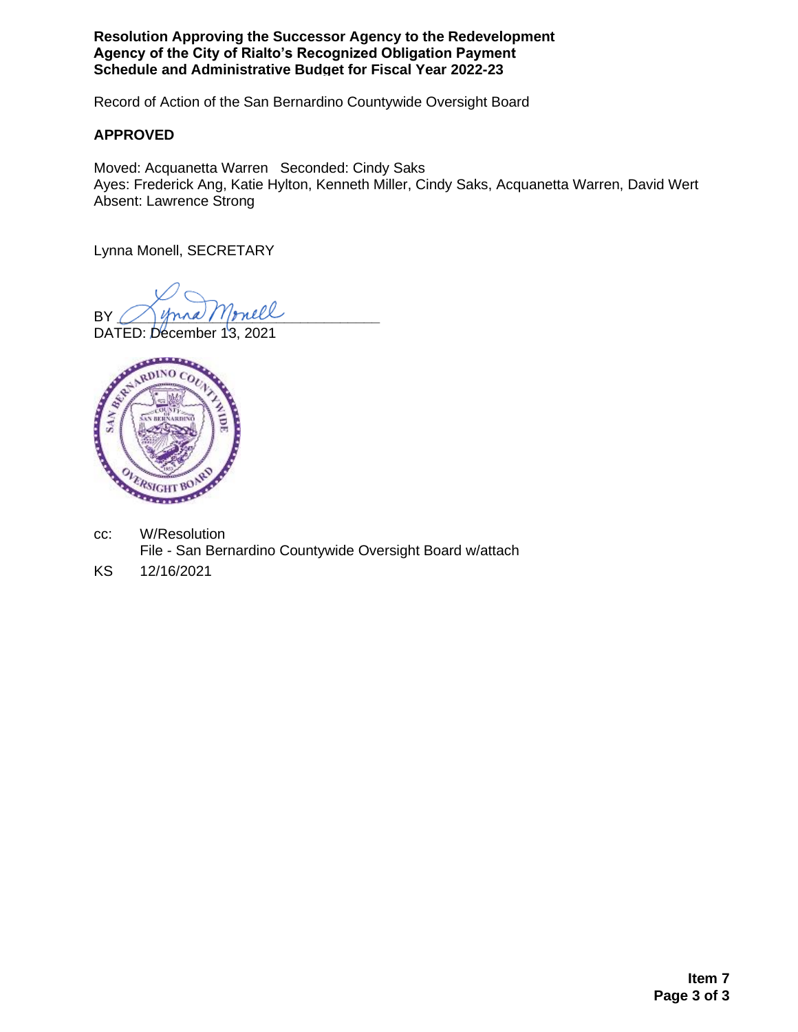**Resolution Approving the Successor Agency to the Redevelopment Agency of the City of Rialto's Recognized Obligation Payment Schedule and Administrative Budget for Fiscal Year 2022-23**

Record of Action of the San Bernardino Countywide Oversight Board

#### **APPROVED**

Moved: Acquanetta Warren Seconded: Cindy Saks Ayes: Frederick Ang, Katie Hylton, Kenneth Miller, Cindy Saks, Acquanetta Warren, David Wert Absent: Lawrence Strong

Lynna Monell, SECRETARY

BY *Inna Monell* 

DATED: December 13, 2021



- cc: W/Resolution File - San Bernardino Countywide Oversight Board w/attach
- KS 12/16/2021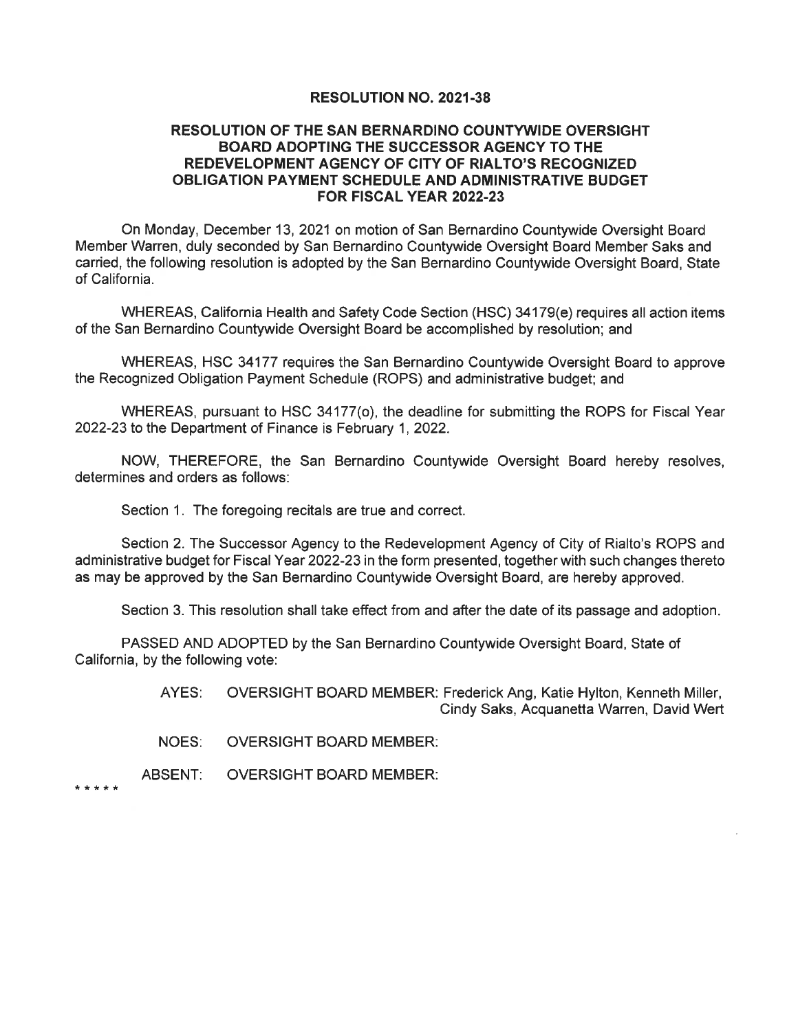#### **RESOLUTION NO. 2021-38**

#### **RESOLUTION OF THE SAN BERNARDINO COUNTYWIDE OVERSIGHT BOARD ADOPTING THE SUCCESSOR AGENCY TO THE** REDEVELOPMENT AGENCY OF CITY OF RIALTO'S RECOGNIZED OBLIGATION PAYMENT SCHEDULE AND ADMINISTRATIVE BUDGET **FOR FISCAL YEAR 2022-23**

On Monday, December 13, 2021 on motion of San Bernardino Countywide Oversight Board Member Warren, duly seconded by San Bernardino Countywide Oversight Board Member Saks and carried, the following resolution is adopted by the San Bernardino Countywide Oversight Board, State of California.

WHEREAS, California Health and Safety Code Section (HSC) 34179(e) requires all action items of the San Bernardino Countywide Oversight Board be accomplished by resolution; and

WHEREAS, HSC 34177 requires the San Bernardino Countywide Oversight Board to approve the Recognized Obligation Payment Schedule (ROPS) and administrative budget; and

WHEREAS, pursuant to HSC 34177(o), the deadline for submitting the ROPS for Fiscal Year 2022-23 to the Department of Finance is February 1, 2022.

NOW, THEREFORE, the San Bernardino Countywide Oversight Board hereby resolves, determines and orders as follows:

Section 1. The foregoing recitals are true and correct.

Section 2. The Successor Agency to the Redevelopment Agency of City of Rialto's ROPS and administrative budget for Fiscal Year 2022-23 in the form presented, together with such changes thereto as may be approved by the San Bernardino Countywide Oversight Board, are hereby approved.

Section 3. This resolution shall take effect from and after the date of its passage and adoption.

PASSED AND ADOPTED by the San Bernardino Countywide Oversight Board, State of California, by the following vote:

> AYES: OVERSIGHT BOARD MEMBER: Frederick Ang, Katie Hylton, Kenneth Miller, Cindy Saks, Acquanetta Warren, David Wert

- NOES: **OVERSIGHT BOARD MEMBER:**
- ABSENT: **OVERSIGHT BOARD MEMBER:**

\* \* \* \* \*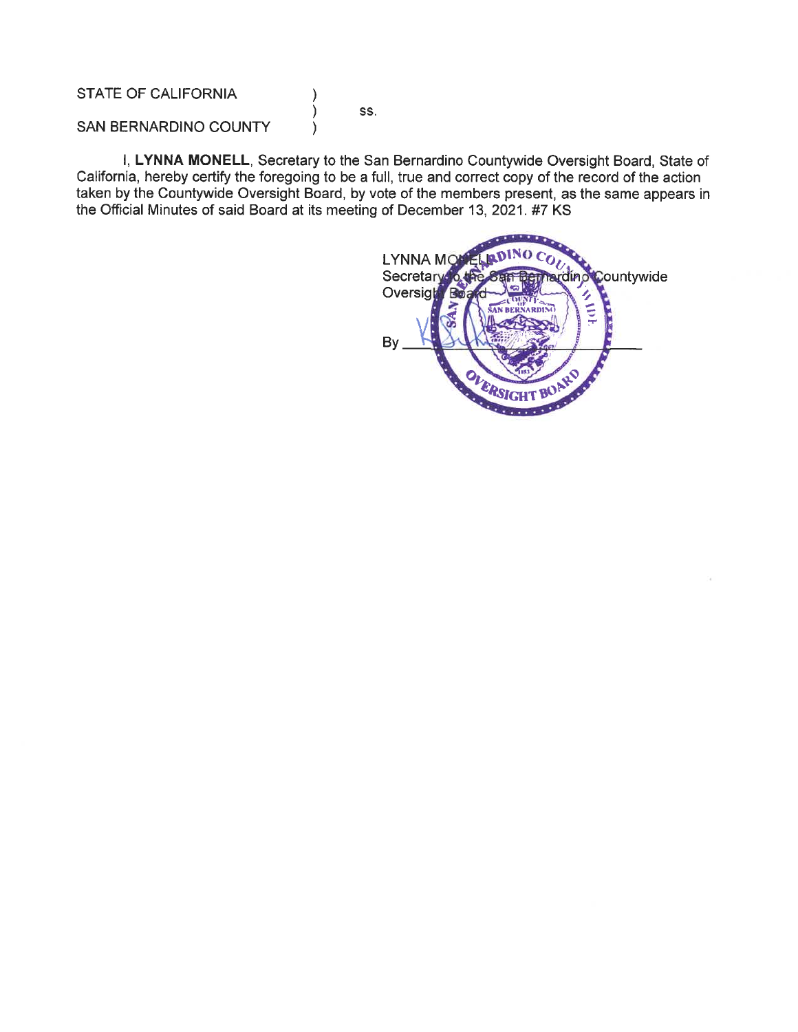STATE OF CALIFORNIA

SS.

١

SAN BERNARDINO COUNTY

I, LYNNA MONELL, Secretary to the San Bernardino Countywide Oversight Board, State of California, hereby certify the foregoing to be a full, true and correct copy of the record of the action taken by the Countywide Oversight Board, by vote of the members present, as the same appears in the Official Minutes of said Board at its meeting of December 13, 2021. #7 KS

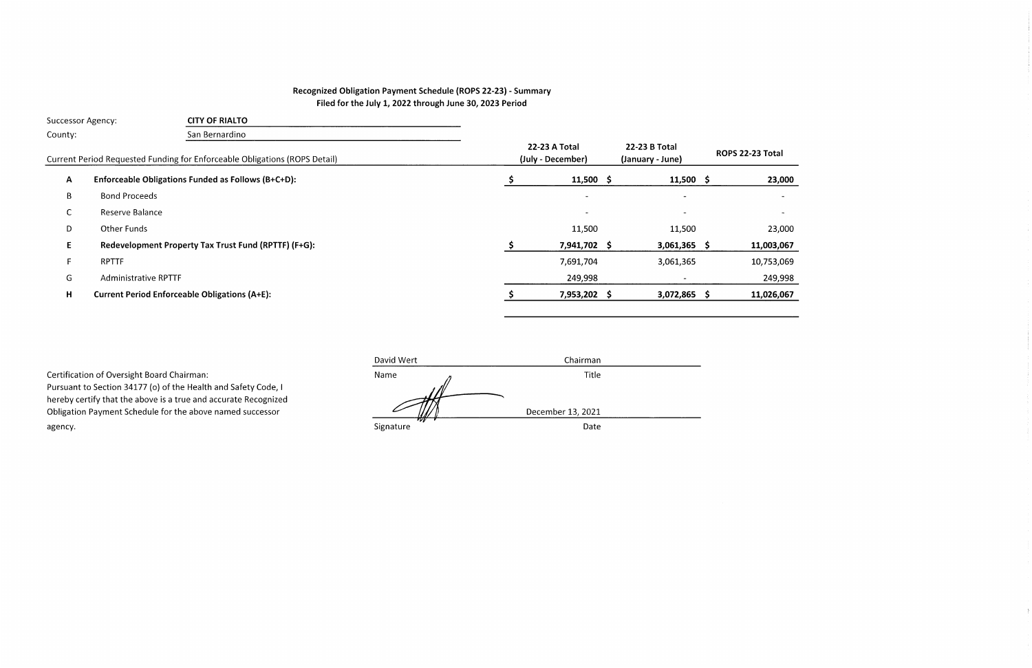# Recognized Obligation Payment Schedule (ROPS 22-23) - Summary Filed for the July 1, 2022 through June 30, 2023 Period

| <b>Successor Agency:</b> |                             | <b>CITY OF RIALTO</b>                                                      |                                    |                                   |                          |
|--------------------------|-----------------------------|----------------------------------------------------------------------------|------------------------------------|-----------------------------------|--------------------------|
| County:                  |                             | San Bernardino                                                             |                                    |                                   |                          |
|                          |                             | Current Period Requested Funding for Enforceable Obligations (ROPS Detail) | 22-23 A Total<br>(July - December) | 22-23 B Total<br>(January - June) | ROPS 22-23 Total         |
| A                        |                             | Enforceable Obligations Funded as Follows (B+C+D):                         | $11,500$ \$                        | $11,500 \; \text{S}$              | 23,000                   |
| B                        | <b>Bond Proceeds</b>        |                                                                            | $\overline{\phantom{a}}$           | $\blacksquare$                    | $\sim$                   |
| $\sim$<br>U              | Reserve Balance             |                                                                            |                                    | $\overline{\phantom{a}}$          | $\overline{\phantom{a}}$ |
| D                        | Other Funds                 |                                                                            | 11,500                             | 11,500                            | 23,000                   |
| E.                       |                             | Redevelopment Property Tax Trust Fund (RPTTF) (F+G):                       | 7,941,702 \$                       | $3,061,365$ \$                    | 11,003,067               |
| F.                       | <b>RPTTF</b>                |                                                                            | 7,691,704                          | 3,061,365                         | 10,753,069               |
| G                        | <b>Administrative RPTTF</b> |                                                                            | 249,998                            |                                   | 249,998                  |
| H                        |                             | <b>Current Period Enforceable Obligations (A+E):</b>                       | 7,953,202 \$                       | $3,072,865$ \$                    | 11,026,067               |
|                          |                             |                                                                            |                                    |                                   |                          |

 $\rightarrow$ 

|                                                                 | David Wert       | Chairman          |
|-----------------------------------------------------------------|------------------|-------------------|
| Certification of Oversight Board Chairman:                      | Name             | Title             |
| Pursuant to Section 34177 (o) of the Health and Safety Code, I  |                  |                   |
| hereby certify that the above is a true and accurate Recognized |                  |                   |
| Obligation Payment Schedule for the above named successor       |                  | December 13, 2021 |
| agency.                                                         | 70E<br>Signature | Date              |
|                                                                 |                  |                   |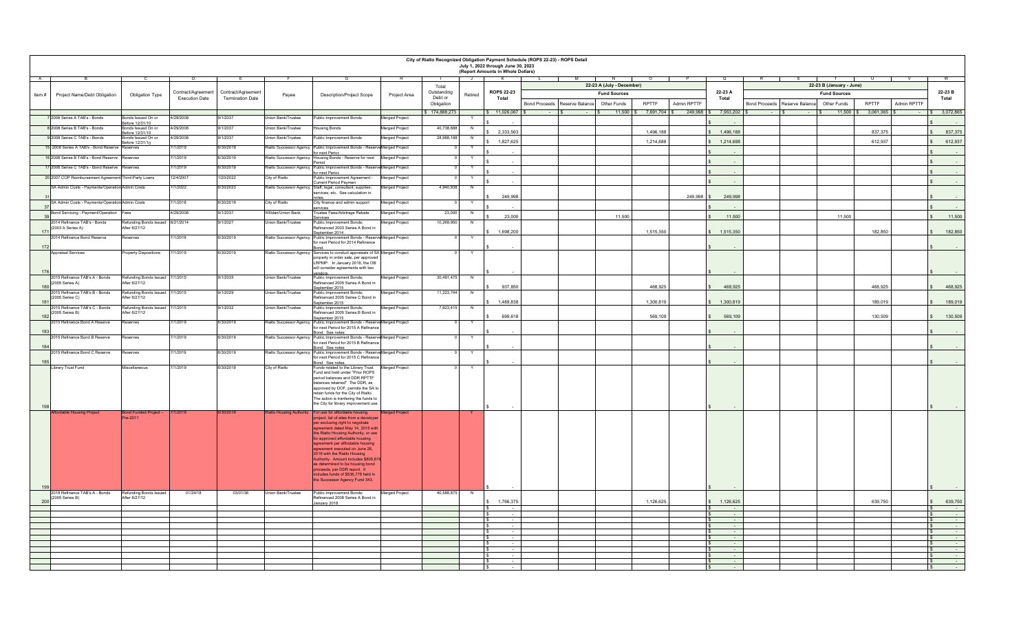|       | City of Rialto Recognized Obligation Payment Schedule (ROPS 22-23) - ROPS Detail<br>July 1, 2022 through June 30, 2023<br>(Report Amounts in Whole Dollars) |                                                   |                       |                         |                                |                                                                                                                  |                       |                      |                |                               |                                                |                     |             |                                    |                               |                                                 |                             |                                  |
|-------|-------------------------------------------------------------------------------------------------------------------------------------------------------------|---------------------------------------------------|-----------------------|-------------------------|--------------------------------|------------------------------------------------------------------------------------------------------------------|-----------------------|----------------------|----------------|-------------------------------|------------------------------------------------|---------------------|-------------|------------------------------------|-------------------------------|-------------------------------------------------|-----------------------------|----------------------------------|
|       |                                                                                                                                                             |                                                   |                       |                         |                                |                                                                                                                  |                       |                      |                |                               | 22-23 A (July - December)                      |                     |             |                                    |                               |                                                 |                             |                                  |
|       |                                                                                                                                                             |                                                   | Contract/Agreement    | Contract/Agreement      |                                |                                                                                                                  |                       | Total<br>Outstanding |                | <b>ROPS 22-23</b>             | <b>Fund Sources</b>                            |                     |             | 22-23 A                            |                               | 22-23 B (January - June)<br><b>Fund Sources</b> |                             | 22-23 B                          |
| Item# | Project Name/Debt Obligation                                                                                                                                | Obligation Type                                   | <b>Execution Date</b> | <b>Termination Date</b> | Payee                          | Description/Project Scope                                                                                        | Project Area          | Debt or              | Retired        | Total                         |                                                |                     |             | Total                              |                               |                                                 |                             | Total                            |
|       |                                                                                                                                                             |                                                   |                       |                         |                                |                                                                                                                  |                       | Obligation           |                |                               | Bond Proceeds   Reserve Balance<br>Other Funds | <b>RPTTF</b>        | Admin RPTTF |                                    | Bond Proceeds Reserve Balance | Other Funds                                     | <b>RPTTF</b><br>Admin RPTTF |                                  |
|       | 2008 Series A TAB's - Bonds                                                                                                                                 | onds Issued On or                                 | 4/29/2008             | 9/1/2037                | <b>Jnion Bank/Trustee</b>      | Public Improvement Bonds                                                                                         | Merged Project        | \$174,888,273        |                | \$11,026,067                  |                                                | 11,500 \$ 7,691,704 |             | 249,998 \$ 7,953,202               |                               | $11,500$ $\frac{1}{3}$                          | 3,061,365 \$                | $\frac{1}{5}$ 3,072,865          |
|       |                                                                                                                                                             | efore 12/31/10                                    |                       |                         |                                |                                                                                                                  |                       |                      |                |                               |                                                |                     |             |                                    |                               |                                                 |                             |                                  |
|       | 2008 Series B TAB's - Bonds                                                                                                                                 | onds Issued On or<br>efore 12/31/10               | 1/29/2008             | 3/1/2037                | nion Bank/Trustee              | ousing Bonds                                                                                                     | lerged Project        | 40,738,688           | N              | 2,333,563                     |                                                | 1,496,188           |             | 1.496.188<br>$\hat{\mathbf{x}}$    |                               |                                                 | 837.375                     | 837,375<br>$\hat{\mathbf{s}}$    |
|       | 2008 Series C TAB's - Bonds                                                                                                                                 | onds Issued On or<br>Before 12/31/10              | 4/29/2008             | 9/1/2037                | <b>Jnion Bank/Trustee</b>      | ublic Improvement Bonds                                                                                          | Merged Project        | 28,988,188           | N              | 1,827,625                     |                                                | 1,214,688           |             | 1,214,688                          |                               |                                                 | 612,937                     | 612,937                          |
|       | 15 2008 Series A TAB's - Bond Reserve                                                                                                                       | serves                                            | 7/1/2019              | 6/30/2019               |                                | alto Successor Agency Public Improvement Bonds - Reserve Merged Project                                          |                       |                      |                |                               |                                                |                     |             |                                    |                               |                                                 |                             |                                  |
|       | 6 2008 Series B TAB's - Bond Reserve                                                                                                                        | <b>Reserves</b>                                   | 7/1/2019              | 6/30/2019               | <b>Rialto Successor Agency</b> | for next Perioc<br>Housing Bonds - Reserve for next                                                              | Merged Project        |                      | Y              |                               |                                                |                     |             |                                    |                               |                                                 |                             |                                  |
|       | 17 2008 Series C TAB's - Bond Reserve                                                                                                                       | Reserves                                          | 7/1/2019              | 6/30/2019               |                                | Period<br>Rialto Successor Agency Public Improvement Bonds - Reserve Merged Project                              |                       |                      | Y              |                               |                                                |                     |             | $\sim$                             |                               |                                                 |                             |                                  |
|       | 20 2007 COP Reimbursement Agreement Third-Party Loans                                                                                                       |                                                   | 12/4/2007             | 1/20/2022               | City of Rialto                 | for next Period<br>Public Improvement Agreement -                                                                |                       |                      | Y              |                               |                                                |                     |             |                                    |                               |                                                 |                             |                                  |
|       |                                                                                                                                                             |                                                   |                       |                         |                                | Current Period Paymen                                                                                            | Merged Project        |                      |                | $\overline{\phantom{a}}$      |                                                |                     |             | $\sim$                             |                               |                                                 |                             |                                  |
|       | SA Admin Costs - Payments/Operation Admin Costs                                                                                                             |                                                   | 7/1/2022              | 6/30/2023               | ialto Successor Agency         | Staff; legal; consultant; supplies;<br>ervices; etc. See calculation in                                          | Merged Project        | 4 940 938            | N              |                               |                                                |                     |             |                                    |                               |                                                 |                             |                                  |
|       | SA Admin Costs - Payments/Operation Admin Costs                                                                                                             |                                                   | 7/1/2018              | 6/30/2019               | City of Rialto                 | City finance and admin support                                                                                   | Merged Project        |                      | Y              | 249,998                       |                                                |                     | 249,998     | 249,998                            |                               |                                                 |                             |                                  |
| 37    |                                                                                                                                                             |                                                   |                       |                         |                                | services                                                                                                         |                       |                      |                |                               |                                                |                     |             |                                    |                               |                                                 |                             |                                  |
| 39    | Bond Servicing - Payment/Operation                                                                                                                          | ees                                               | 4/29/2008             | 9/1/2037                | Villdan/Union Bank             | rustee Fees/Arbitrage Rebate<br>Services                                                                         | Aerged Project        | 23,000               | N              | 23,000                        | 11,500                                         |                     |             | 11,500                             |                               | 11,500                                          |                             | 11,500                           |
|       | 2014 Refinance TAB's - Bonds<br>(2003 A Series A)                                                                                                           | Refunding Bonds Issued 8/21/2014<br>After 6/27/12 |                       | 9/1/2027                | Union Bank/Trustee             | Public Improvement Bonds;<br>Refinanced 2003 Series A Bond in                                                    | Merged Project        | 10.269.950           | $\overline{N}$ |                               |                                                |                     |             |                                    |                               |                                                 |                             |                                  |
| 171   | 2014 Refinance Bond Reserve                                                                                                                                 | eserves                                           | 7/1/2019              | 6/30/2019               |                                | September 2014<br>Rialto Successor Agency Public Improvement Bonds - Reserve Merged Project                      |                       |                      |                | 1,698,200                     |                                                | 1,515,350           |             | 1,515,350                          |                               |                                                 | 182,850                     | 182,850                          |
|       |                                                                                                                                                             |                                                   |                       |                         |                                | for next Period for 2014 Refinance                                                                               |                       |                      |                |                               |                                                |                     |             |                                    |                               |                                                 |                             |                                  |
| 172   | <b>Appraisal Services</b>                                                                                                                                   | roperty Dispositions                              | 7/1/2019              | 6/30/2019               |                                | ialto Successor Agency Services to conduct appraisals of SA Merged Project                                       |                       |                      |                |                               |                                                |                     |             |                                    |                               |                                                 |                             |                                  |
|       |                                                                                                                                                             |                                                   |                       |                         |                                | property in order sale, per approved<br>LRPMP. In January 2016, the OB                                           |                       |                      |                |                               |                                                |                     |             |                                    |                               |                                                 |                             |                                  |
|       |                                                                                                                                                             |                                                   |                       |                         |                                | will consider agreements with two                                                                                |                       |                      |                |                               |                                                |                     |             |                                    |                               |                                                 |                             |                                  |
| 176   | 2015 Refinance TAB's A - Bonds                                                                                                                              | Refunding Bonds Issued 7/1/2015                   |                       | 9/1/2035                | Jnion Bank/Trustee             | vendors.<br>Public Improvement Bonds;                                                                            | Merged Project        | 30,491,475           | N              |                               |                                                |                     |             |                                    |                               |                                                 |                             |                                  |
| 180   | (2005 Series A)                                                                                                                                             | After 6/27/12                                     |                       |                         |                                | Refinanced 2005 Series A Bond in                                                                                 |                       |                      |                | 937,850                       |                                                | 468,925             |             | 468,925                            |                               |                                                 | 468,925                     | 468,925                          |
|       | 2015 Refinance TAB's B - Bonds                                                                                                                              | Refunding Bonds Issued 7/1/2015                   |                       | 9/1/2029                | Union Bank/Trustee             | September 2015<br>Public Improvement Bonds:                                                                      | Merged Project        | 11,223,744           | - N            |                               |                                                |                     |             |                                    |                               |                                                 |                             |                                  |
| 181   | (2005 Series C)                                                                                                                                             | After 6/27/12                                     |                       |                         |                                | efinanced 2005 Series C Bond in<br>eptember 2015                                                                 |                       |                      |                | 1,489,838                     |                                                | 1,300,819           |             | 1,300,819                          |                               |                                                 | 189,019                     | 189,019                          |
|       | 2015 Refinance TAB's C - Bonds<br>(2005 Series B)                                                                                                           | Refunding Bonds Issued<br>After 6/27/12           | /1/2015               | 9/1/2032                | nion Bank/Trustee              | Public Improvement Bonds;<br>Refinanced 2005 Series B Bond in                                                    | Merged Project        | 7,623,415            | N              |                               |                                                |                     |             |                                    |                               |                                                 |                             |                                  |
| 182   |                                                                                                                                                             |                                                   |                       |                         |                                | eptember 2015                                                                                                    |                       |                      | v              | 699,618                       |                                                | 569,109             |             | 569,109<br>s.                      |                               |                                                 | 130,509                     | 130,509<br>$\mathsf{s}$          |
|       | 2015 Refinance Bond A Reserve                                                                                                                               | <b>Reserves</b>                                   | 7/1/2019              | 6/30/2019               |                                | ialto Successor Agency Public Improvement Bonds - Reserve Merged Project<br>for next Period for 2015 A Refinance |                       |                      |                |                               |                                                |                     |             |                                    |                               |                                                 |                             |                                  |
| 183   | 2015 Refinance Bond B Reserve                                                                                                                               | Reserves                                          | 7/1/2019              | 6/30/2019               |                                | ond. See notes<br>Rialto Successor Agency Public Improvement Bonds - Reserve Merged Project                      |                       |                      |                |                               |                                                |                     |             |                                    |                               |                                                 |                             |                                  |
| 18    |                                                                                                                                                             |                                                   |                       |                         |                                | for next Period for 2015 B Refinance<br>Bond. See notes                                                          |                       |                      |                |                               |                                                |                     |             |                                    |                               |                                                 |                             |                                  |
|       | 2015 Refinance Bond C Reserve                                                                                                                               | eserves                                           | 7/1/2019              | 6/30/2019               | <b>Rialto Successor Agency</b> | Public Improvement Bonds - Reserve Merged Project                                                                |                       |                      |                |                               |                                                |                     |             |                                    |                               |                                                 |                             |                                  |
| 185   |                                                                                                                                                             |                                                   |                       |                         |                                | for next Period for 2015 C Refinance<br>Bond. See notes                                                          |                       |                      |                |                               |                                                |                     |             |                                    |                               |                                                 |                             |                                  |
|       | Library Trust Fund                                                                                                                                          | Miscellaneous                                     | 7/1/2019              | 6/30/2019               | City of Rialto                 | Funds related to the Library Trust<br>Fund and held under "Prior ROPS                                            | Merged Project        |                      |                |                               |                                                |                     |             |                                    |                               |                                                 |                             |                                  |
|       |                                                                                                                                                             |                                                   |                       |                         |                                | period balances and DDR RPTTF                                                                                    |                       |                      |                |                               |                                                |                     |             |                                    |                               |                                                 |                             |                                  |
|       |                                                                                                                                                             |                                                   |                       |                         |                                | balances retained" The DDR, as<br>approved by DOF, permits the SA to                                             |                       |                      |                |                               |                                                |                     |             |                                    |                               |                                                 |                             |                                  |
|       |                                                                                                                                                             |                                                   |                       |                         |                                | retain funds for the City of Rialto.<br>The action is tranfering the funds to                                    |                       |                      |                |                               |                                                |                     |             |                                    |                               |                                                 |                             |                                  |
| 198   |                                                                                                                                                             |                                                   |                       |                         |                                | the City for library improvement use                                                                             |                       |                      |                |                               |                                                |                     |             |                                    |                               |                                                 |                             |                                  |
|       | ffordable Housing Project                                                                                                                                   | ond Funded Project -                              | 7/1/2019              | 6/30/2019               | ialto Housing Authority        | For use for affordable housing                                                                                   | erged Project         |                      |                |                               |                                                |                     |             |                                    |                               |                                                 |                             |                                  |
|       |                                                                                                                                                             | $e - 2011$                                        |                       |                         |                                | project, list of sites from a develope<br>per exclusing right to negotiate                                       |                       |                      |                |                               |                                                |                     |             |                                    |                               |                                                 |                             |                                  |
|       |                                                                                                                                                             |                                                   |                       |                         |                                | agreement dated May 14, 2015 with                                                                                |                       |                      |                |                               |                                                |                     |             |                                    |                               |                                                 |                             |                                  |
|       |                                                                                                                                                             |                                                   |                       |                         |                                | the Rialto Housing Authority, or use<br>for approved affordable housing                                          |                       |                      |                |                               |                                                |                     |             |                                    |                               |                                                 |                             |                                  |
|       |                                                                                                                                                             |                                                   |                       |                         |                                | agreement per affordable housing<br>agreement executed on June 26,                                               |                       |                      |                |                               |                                                |                     |             |                                    |                               |                                                 |                             |                                  |
|       |                                                                                                                                                             |                                                   |                       |                         |                                | 2016 with the Rialto Housing                                                                                     |                       |                      |                |                               |                                                |                     |             |                                    |                               |                                                 |                             |                                  |
|       |                                                                                                                                                             |                                                   |                       |                         |                                | Authority. Amount includes \$805,61<br>as determined to be housing bond                                          |                       |                      |                |                               |                                                |                     |             |                                    |                               |                                                 |                             |                                  |
|       |                                                                                                                                                             |                                                   |                       |                         |                                | proceeds, per DDR report. It                                                                                     |                       |                      |                |                               |                                                |                     |             |                                    |                               |                                                 |                             |                                  |
|       |                                                                                                                                                             |                                                   |                       |                         |                                | ncludes funds of \$536,778 held in<br>the Successor Agency Fund 343.                                             |                       |                      |                |                               |                                                |                     |             |                                    |                               |                                                 |                             |                                  |
| 199   |                                                                                                                                                             |                                                   |                       |                         |                                |                                                                                                                  |                       | 40,588,875           |                |                               |                                                |                     |             |                                    |                               |                                                 |                             |                                  |
|       | 2018 Refinance TAB's A - Bonds<br>(2005 Series B)                                                                                                           | Refunding Bonds Issued<br>After 6/27/12           | 01/24/18              | 03/01/36                | Union Bank/Trustee             | Public Improvement Bonds;<br>Refinanced 2008 Series A Bond in                                                    | <b>Merged Project</b> |                      | N              |                               |                                                |                     |             |                                    |                               |                                                 |                             |                                  |
| 200   |                                                                                                                                                             |                                                   |                       |                         |                                | January 2018.                                                                                                    |                       |                      |                | 1,766,375                     |                                                | 1.126.625           |             | 1,126,625                          |                               |                                                 | 639,750                     | 639,750                          |
|       |                                                                                                                                                             |                                                   |                       |                         |                                |                                                                                                                  |                       |                      |                | $\sim$<br>ΙS                  |                                                |                     |             | $\sim$                             |                               |                                                 |                             | IS.<br>$\sim$ 100 $\pm$          |
|       |                                                                                                                                                             |                                                   |                       |                         |                                |                                                                                                                  |                       |                      |                |                               |                                                |                     |             | $\overline{\phantom{a}}$<br>$\sim$ |                               |                                                 |                             | $\sqrt{S}$<br>l S<br>$\sim$      |
|       |                                                                                                                                                             |                                                   |                       |                         |                                |                                                                                                                  |                       |                      |                |                               |                                                |                     |             | $\sim$                             |                               |                                                 |                             | $\mathbf{s}$<br>$\sim$           |
|       |                                                                                                                                                             |                                                   |                       |                         |                                |                                                                                                                  |                       |                      |                | $\sim$<br>$\sim$              |                                                |                     |             | $\sim$<br>$\sim$                   |                               |                                                 |                             | l S<br>$\sim$<br>-S              |
|       |                                                                                                                                                             |                                                   |                       |                         |                                |                                                                                                                  |                       |                      |                |                               |                                                |                     |             |                                    |                               |                                                 |                             |                                  |
|       |                                                                                                                                                             |                                                   |                       |                         |                                |                                                                                                                  |                       |                      |                | ΙS<br>$\sim$<br>l s<br>$\sim$ |                                                |                     |             | $\sim$<br><b>A</b>                 |                               |                                                 |                             | $\mathbf{s}$<br>$\sim$<br>$\sim$ |
|       |                                                                                                                                                             |                                                   |                       |                         |                                |                                                                                                                  |                       |                      |                | ΙS                            |                                                |                     |             |                                    |                               |                                                 |                             | $\sqrt{S}$<br>$\mathsf{S}$       |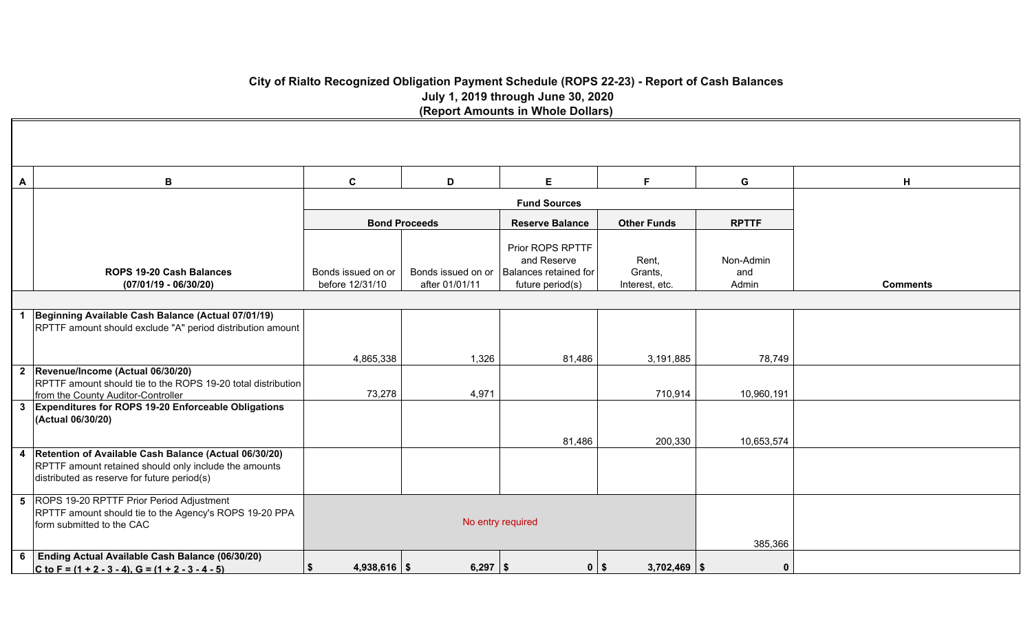### **City of Rialto Recognized Obligation Payment Schedule (ROPS 22-23) - Report of Cash Balances July 1, 2019 through June 30, 2020 (Report Amounts in Whole Dollars)**

| Α | В                                                                                                                                                               | $\mathbf c$                           | D                                    | E                                                                            | F                                  | G                         | H               |
|---|-----------------------------------------------------------------------------------------------------------------------------------------------------------------|---------------------------------------|--------------------------------------|------------------------------------------------------------------------------|------------------------------------|---------------------------|-----------------|
|   |                                                                                                                                                                 |                                       |                                      |                                                                              |                                    |                           |                 |
|   |                                                                                                                                                                 |                                       | <b>Bond Proceeds</b>                 | <b>Reserve Balance</b>                                                       | <b>Other Funds</b>                 | <b>RPTTF</b>              |                 |
|   | <b>ROPS 19-20 Cash Balances</b><br>$(07/01/19 - 06/30/20)$                                                                                                      | Bonds issued on or<br>before 12/31/10 | Bonds issued on or<br>after 01/01/11 | Prior ROPS RPTTF<br>and Reserve<br>Balances retained for<br>future period(s) | Rent,<br>Grants,<br>Interest, etc. | Non-Admin<br>and<br>Admin | <b>Comments</b> |
|   |                                                                                                                                                                 |                                       |                                      |                                                                              |                                    |                           |                 |
|   | Beginning Available Cash Balance (Actual 07/01/19)<br>RPTTF amount should exclude "A" period distribution amount                                                |                                       |                                      |                                                                              |                                    |                           |                 |
|   |                                                                                                                                                                 | 4,865,338                             | 1,326                                | 81,486                                                                       | 3,191,885                          | 78,749                    |                 |
|   | 2 Revenue/Income (Actual 06/30/20)<br>RPTTF amount should tie to the ROPS 19-20 total distribution<br>from the County Auditor-Controller                        | 73,278                                | 4,971                                |                                                                              | 710,914                            | 10,960,191                |                 |
|   | 3 Expenditures for ROPS 19-20 Enforceable Obligations<br>(Actual 06/30/20)                                                                                      |                                       |                                      |                                                                              |                                    |                           |                 |
|   |                                                                                                                                                                 |                                       |                                      | 81,486                                                                       | 200,330                            | 10,653,574                |                 |
|   | 4 Retention of Available Cash Balance (Actual 06/30/20)<br>RPTTF amount retained should only include the amounts<br>distributed as reserve for future period(s) |                                       |                                      |                                                                              |                                    |                           |                 |
|   | 5 ROPS 19-20 RPTTF Prior Period Adjustment<br>RPTTF amount should tie to the Agency's ROPS 19-20 PPA<br>form submitted to the CAC                               |                                       | No entry required                    |                                                                              |                                    |                           |                 |
| 6 | <b>Ending Actual Available Cash Balance (06/30/20)</b><br>C to F = $(1 + 2 - 3 - 4)$ , G = $(1 + 2 - 3 - 4 - 5)$                                                | \$<br>$4,938,616$ \$                  | $6,297$ \ \$                         | $0$   \$                                                                     | $3,702,469$ \\$                    | 385,366<br>$\Omega$       |                 |